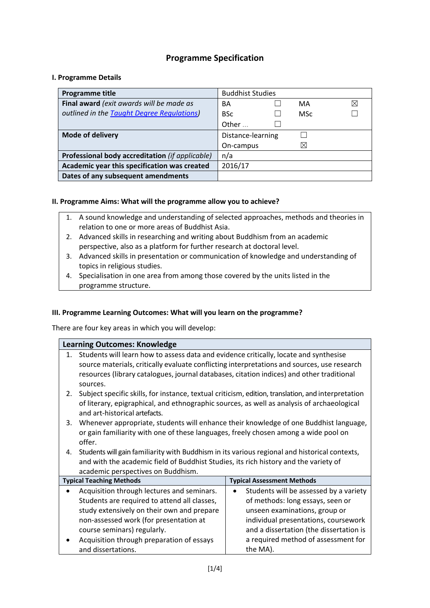# **Programme Specification**

#### **I. Programme Details**

| Programme title                                 | <b>Buddhist Studies</b> |  |             |   |
|-------------------------------------------------|-------------------------|--|-------------|---|
| Final award (exit awards will be made as        | BA                      |  | MA          | ⊠ |
| outlined in the Taught Degree Regulations)      | <b>BSc</b>              |  | <b>MSc</b>  |   |
|                                                 | Other                   |  |             |   |
| <b>Mode of delivery</b>                         | Distance-learning       |  |             |   |
|                                                 | On-campus               |  | $\boxtimes$ |   |
| Professional body accreditation (if applicable) | n/a                     |  |             |   |
| Academic year this specification was created    | 2016/17                 |  |             |   |
| Dates of any subsequent amendments              |                         |  |             |   |

## **II. Programme Aims: What will the programme allow you to achieve?**

- 1. A sound knowledge and understanding of selected approaches, methods and theories in relation to one or more areas of Buddhist Asia.
- 2. Advanced skills in researching and writing about Buddhism from an academic perspective, also as a platform for further research at doctoral level.
- 3. Advanced skills in presentation or communication of knowledge and understanding of topics in religious studies.
- 4. Specialisation in one area from among those covered by the units listed in the programme structure.

## **III. Programme Learning Outcomes: What will you learn on the programme?**

There are four key areas in which you will develop:

| <b>Learning Outcomes: Knowledge</b> |                                                                                                                                                                                                                                   |                                        |  |  |  |  |  |  |
|-------------------------------------|-----------------------------------------------------------------------------------------------------------------------------------------------------------------------------------------------------------------------------------|----------------------------------------|--|--|--|--|--|--|
| $\mathbf{1}$ .                      | Students will learn how to assess data and evidence critically, locate and synthesise<br>source materials, critically evaluate conflicting interpretations and sources, use research                                              |                                        |  |  |  |  |  |  |
|                                     | resources (library catalogues, journal databases, citation indices) and other traditional<br>sources.                                                                                                                             |                                        |  |  |  |  |  |  |
| 2.                                  | Subject specific skills, for instance, textual criticism, edition, translation, and interpretation<br>of literary, epigraphical, and ethnographic sources, as well as analysis of archaeological<br>and art-historical artefacts. |                                        |  |  |  |  |  |  |
| 3.                                  | Whenever appropriate, students will enhance their knowledge of one Buddhist language,<br>or gain familiarity with one of these languages, freely chosen among a wide pool on<br>offer.                                            |                                        |  |  |  |  |  |  |
| 4.                                  | Students will gain familiarity with Buddhism in its various regional and historical contexts,<br>and with the academic field of Buddhist Studies, its rich history and the variety of<br>academic perspectives on Buddhism.       |                                        |  |  |  |  |  |  |
|                                     | <b>Typical Teaching Methods</b>                                                                                                                                                                                                   | <b>Typical Assessment Methods</b>      |  |  |  |  |  |  |
|                                     | Acquisition through lectures and seminars.                                                                                                                                                                                        | Students will be assessed by a variety |  |  |  |  |  |  |
|                                     | Students are required to attend all classes,                                                                                                                                                                                      | of methods: long essays, seen or       |  |  |  |  |  |  |
|                                     | study extensively on their own and prepare                                                                                                                                                                                        | unseen examinations, group or          |  |  |  |  |  |  |
|                                     | non-assessed work (for presentation at<br>individual presentations, coursework                                                                                                                                                    |                                        |  |  |  |  |  |  |
|                                     | course seminars) regularly.<br>and a dissertation (the dissertation is                                                                                                                                                            |                                        |  |  |  |  |  |  |
|                                     | Acquisition through preparation of essays                                                                                                                                                                                         | a required method of assessment for    |  |  |  |  |  |  |
|                                     | and dissertations.                                                                                                                                                                                                                | the MA).                               |  |  |  |  |  |  |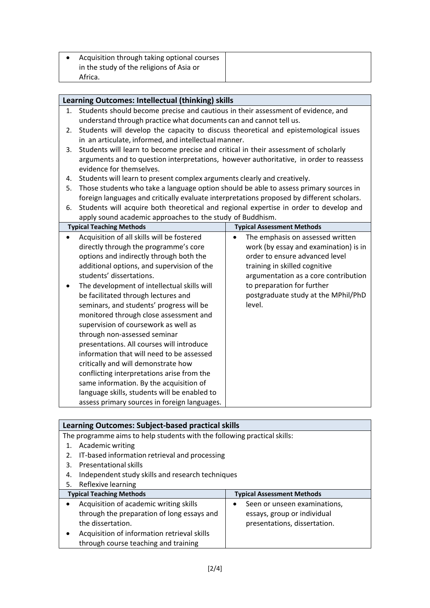| Acquisition through taking optional courses |  |
|---------------------------------------------|--|
| in the study of the religions of Asia or    |  |
| Africa.                                     |  |

|           | Learning Outcomes: Intellectual (thinking) skills                                         |                                               |  |  |  |  |  |  |
|-----------|-------------------------------------------------------------------------------------------|-----------------------------------------------|--|--|--|--|--|--|
| 1.        | Students should become precise and cautious in their assessment of evidence, and          |                                               |  |  |  |  |  |  |
|           | understand through practice what documents can and cannot tell us.                        |                                               |  |  |  |  |  |  |
| 2.        | Students will develop the capacity to discuss theoretical and epistemological issues      |                                               |  |  |  |  |  |  |
|           | in an articulate, informed, and intellectual manner.                                      |                                               |  |  |  |  |  |  |
| 3.        | Students will learn to become precise and critical in their assessment of scholarly       |                                               |  |  |  |  |  |  |
|           | arguments and to question interpretations, however authoritative, in order to reassess    |                                               |  |  |  |  |  |  |
|           | evidence for themselves.                                                                  |                                               |  |  |  |  |  |  |
| 4.        | Students will learn to present complex arguments clearly and creatively.                  |                                               |  |  |  |  |  |  |
| 5.        | Those students who take a language option should be able to assess primary sources in     |                                               |  |  |  |  |  |  |
|           | foreign languages and critically evaluate interpretations proposed by different scholars. |                                               |  |  |  |  |  |  |
| 6.        | Students will acquire both theoretical and regional expertise in order to develop and     |                                               |  |  |  |  |  |  |
|           | apply sound academic approaches to the study of Buddhism.                                 |                                               |  |  |  |  |  |  |
|           | <b>Typical Teaching Methods</b>                                                           | <b>Typical Assessment Methods</b>             |  |  |  |  |  |  |
| $\bullet$ | Acquisition of all skills will be fostered                                                | The emphasis on assessed written<br>$\bullet$ |  |  |  |  |  |  |
|           | directly through the programme's core                                                     | work (by essay and examination) is in         |  |  |  |  |  |  |
|           | options and indirectly through both the                                                   | order to ensure advanced level                |  |  |  |  |  |  |
|           | additional options, and supervision of the                                                | training in skilled cognitive                 |  |  |  |  |  |  |
|           | students' dissertations.<br>argumentation as a core contribution                          |                                               |  |  |  |  |  |  |
|           | The development of intellectual skills will                                               | to preparation for further                    |  |  |  |  |  |  |
|           | be facilitated through lectures and                                                       | postgraduate study at the MPhil/PhD           |  |  |  |  |  |  |
|           | seminars, and students' progress will be                                                  | level.                                        |  |  |  |  |  |  |
|           | monitored through close assessment and                                                    |                                               |  |  |  |  |  |  |
|           | supervision of coursework as well as                                                      |                                               |  |  |  |  |  |  |
|           | through non-assessed seminar                                                              |                                               |  |  |  |  |  |  |
|           | presentations. All courses will introduce                                                 |                                               |  |  |  |  |  |  |
|           | information that will need to be assessed                                                 |                                               |  |  |  |  |  |  |
|           | critically and will demonstrate how                                                       |                                               |  |  |  |  |  |  |
|           | conflicting interpretations arise from the                                                |                                               |  |  |  |  |  |  |
|           | same information. By the acquisition of                                                   |                                               |  |  |  |  |  |  |
|           | language skills, students will be enabled to                                              |                                               |  |  |  |  |  |  |
|           | assess primary sources in foreign languages.                                              |                                               |  |  |  |  |  |  |
|           |                                                                                           |                                               |  |  |  |  |  |  |

| Learning Outcomes: Subject-based practical skills                        |                                                  |  |  |  |  |  |  |
|--------------------------------------------------------------------------|--------------------------------------------------|--|--|--|--|--|--|
| The programme aims to help students with the following practical skills: |                                                  |  |  |  |  |  |  |
| Academic writing                                                         |                                                  |  |  |  |  |  |  |
| IT-based information retrieval and processing<br>2.                      |                                                  |  |  |  |  |  |  |
| <b>Presentational skills</b><br>3.                                       |                                                  |  |  |  |  |  |  |
| 4.                                                                       | Independent study skills and research techniques |  |  |  |  |  |  |
| Reflexive learning<br>5.                                                 |                                                  |  |  |  |  |  |  |
| <b>Typical Teaching Methods</b>                                          | <b>Typical Assessment Methods</b>                |  |  |  |  |  |  |
| Acquisition of academic writing skills<br>٠                              | Seen or unseen examinations,                     |  |  |  |  |  |  |
| through the preparation of long essays and                               | essays, group or individual                      |  |  |  |  |  |  |
| the dissertation.<br>presentations, dissertation.                        |                                                  |  |  |  |  |  |  |
| Acquisition of information retrieval skills                              |                                                  |  |  |  |  |  |  |
| through course teaching and training                                     |                                                  |  |  |  |  |  |  |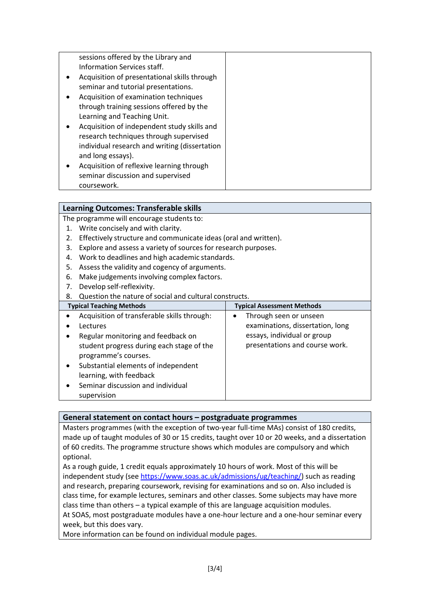| sessions offered by the Library and           |  |
|-----------------------------------------------|--|
| Information Services staff.                   |  |
| Acquisition of presentational skills through  |  |
| seminar and tutorial presentations.           |  |
| Acquisition of examination techniques         |  |
| through training sessions offered by the      |  |
| Learning and Teaching Unit.                   |  |
| Acquisition of independent study skills and   |  |
| research techniques through supervised        |  |
| individual research and writing (dissertation |  |
| and long essays).                             |  |
| Acquisition of reflexive learning through     |  |
| seminar discussion and supervised             |  |
| coursework.                                   |  |

## **Learning Outcomes: Transferable skills**

The programme will encourage students to:

- 1. Write concisely and with clarity.
- 2. Effectively structure and communicate ideas (oral and written).
- 3. Explore and assess a variety of sources for research purposes.
- 4. Work to deadlines and high academic standards.
- 5. Assess the validity and cogency of arguments.
- 6. Make judgements involving complex factors.
- 7. Develop self-reflexivity.
- 8. Question the nature of social and cultural constructs.

| <b>Typical Teaching Methods</b>                  | <b>Typical Assessment Methods</b> |  |  |  |
|--------------------------------------------------|-----------------------------------|--|--|--|
| Acquisition of transferable skills through:      | Through seen or unseen            |  |  |  |
| Lectures                                         | examinations, dissertation, long  |  |  |  |
| Regular monitoring and feedback on               | essays, individual or group       |  |  |  |
| student progress during each stage of the        | presentations and course work.    |  |  |  |
| programme's courses.                             |                                   |  |  |  |
| Substantial elements of independent<br>$\bullet$ |                                   |  |  |  |
| learning, with feedback                          |                                   |  |  |  |
| Seminar discussion and individual                |                                   |  |  |  |
| supervision                                      |                                   |  |  |  |

#### **General statement on contact hours – postgraduate programmes**

Masters programmes (with the exception of two-year full-time MAs) consist of 180 credits, made up of taught modules of 30 or 15 credits, taught over 10 or 20 weeks, and a dissertation of 60 credits. The programme structure shows which modules are compulsory and which optional.

As a rough guide, 1 credit equals approximately 10 hours of work. Most of this will be independent study (see [https://www.soas.ac.uk/admissions/ug/teaching/\)](https://www.soas.ac.uk/admissions/ug/teaching/) such as reading and research, preparing coursework, revising for examinations and so on. Also included is class time, for example lectures, seminars and other classes. Some subjects may have more class time than others – a typical example of this are language acquisition modules. At SOAS, most postgraduate modules have a one-hour lecture and a one-hour seminar every week, but this does vary.

More information can be found on individual module pages.